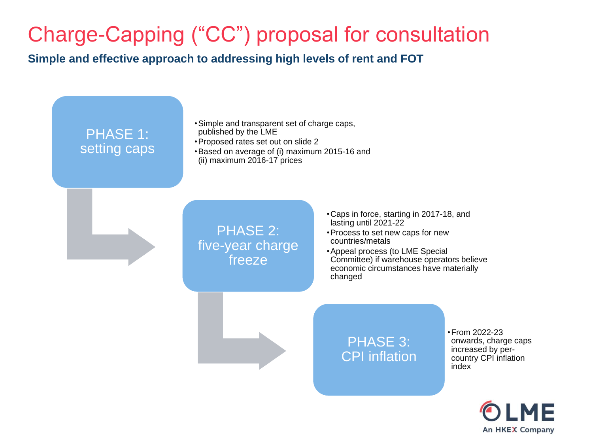## Charge-Capping ("CC") proposal for consultation

**Simple and effective approach to addressing high levels of rent and FOT**